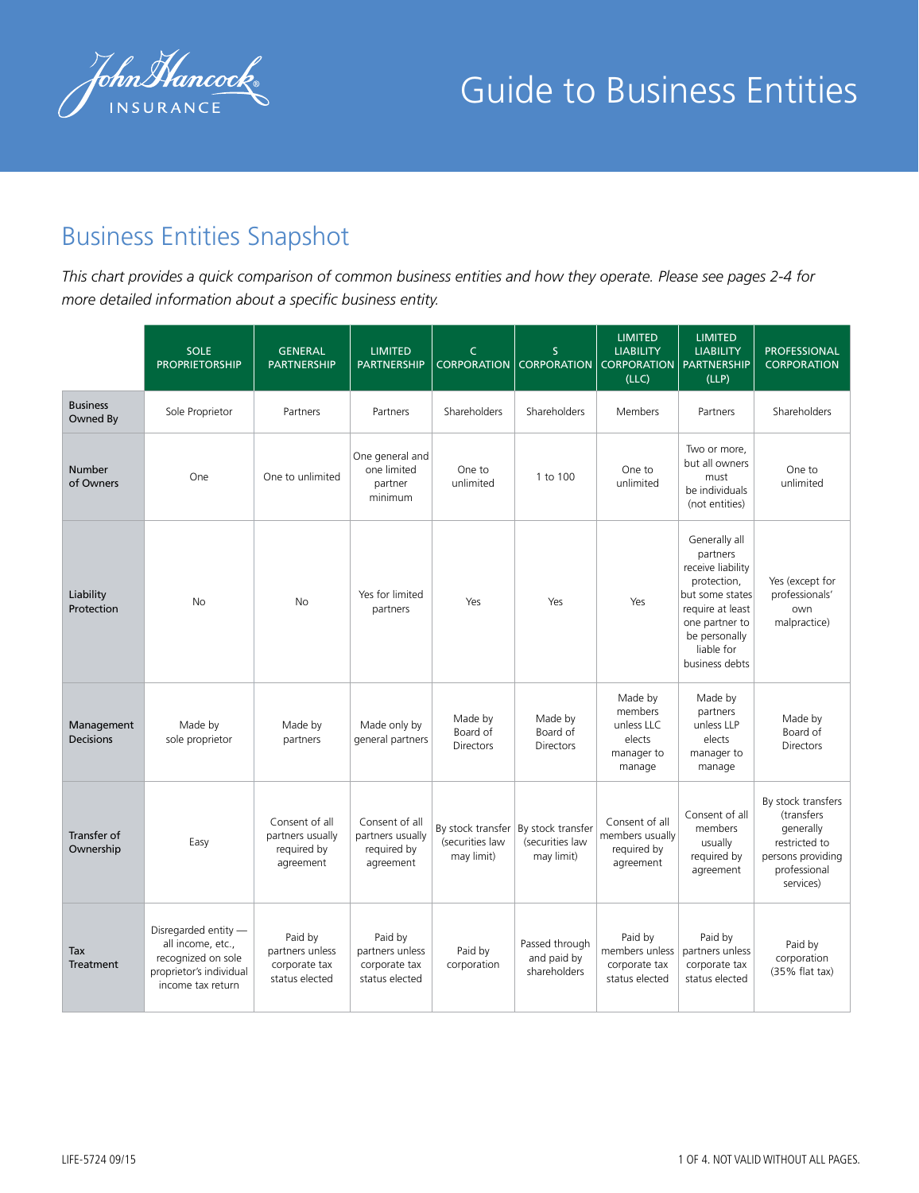

## Business Entities Snapshot

*This chart provides a quick comparison of common business entities and how they operate. Please see pages 2-4 for more detailed information about a specific business entity.* 

|                             | <b>SOLE</b><br><b>PROPRIETORSHIP</b>                                                                            | <b>GENERAL</b><br><b>PARTNERSHIP</b>                           | <b>LIMITED</b><br><b>PARTNERSHIP</b>                           | $\mathsf{C}$<br><b>CORPORATION</b>                 | <sub>S</sub><br><b>CORPORATION</b>                 | <b>LIMITED</b><br><b>LIABILITY</b><br><b>CORPORATION</b><br>(LLC)  | <b>LIMITED</b><br><b>LIABILITY</b><br><b>PARTNERSHIP</b><br>(LLP)                                                                                                       | <b>PROFESSIONAL</b><br><b>CORPORATION</b>                                                                        |
|-----------------------------|-----------------------------------------------------------------------------------------------------------------|----------------------------------------------------------------|----------------------------------------------------------------|----------------------------------------------------|----------------------------------------------------|--------------------------------------------------------------------|-------------------------------------------------------------------------------------------------------------------------------------------------------------------------|------------------------------------------------------------------------------------------------------------------|
| <b>Business</b><br>Owned By | Sole Proprietor                                                                                                 | Partners                                                       | Partners                                                       | Shareholders                                       | Shareholders                                       | <b>Members</b>                                                     | Partners                                                                                                                                                                | Shareholders                                                                                                     |
| <b>Number</b><br>of Owners  | One                                                                                                             | One to unlimited                                               | One general and<br>one limited<br>partner<br>minimum           | One to<br>unlimited                                | 1 to 100                                           | One to<br>unlimited                                                | Two or more,<br>but all owners<br>must<br>be individuals<br>(not entities)                                                                                              | One to<br>unlimited                                                                                              |
| Liability<br>Protection     | <b>No</b>                                                                                                       | <b>No</b>                                                      | Yes for limited<br>partners                                    | Yes                                                | Yes                                                | Yes                                                                | Generally all<br>partners<br>receive liability<br>protection,<br>but some states<br>require at least<br>one partner to<br>be personally<br>liable for<br>business debts | Yes (except for<br>professionals'<br>own<br>malpractice)                                                         |
| Management<br>Decisions     | Made by<br>sole proprietor                                                                                      | Made by<br>partners                                            | Made only by<br>general partners                               | Made by<br>Board of<br>Directors                   | Made by<br>Board of<br>Directors                   | Made by<br>members<br>unless LLC<br>elects<br>manager to<br>manage | Made by<br>partners<br>unless LLP<br>elects<br>manager to<br>manage                                                                                                     | Made by<br>Board of<br>Directors                                                                                 |
| Transfer of<br>Ownership    | Easy                                                                                                            | Consent of all<br>partners usually<br>required by<br>agreement | Consent of all<br>partners usually<br>required by<br>agreement | By stock transfer<br>(securities law<br>may limit) | By stock transfer<br>(securities law<br>may limit) | Consent of all<br>members usually<br>required by<br>agreement      | Consent of all<br>members<br>usually<br>required by<br>agreement                                                                                                        | By stock transfers<br>(transfers<br>generally<br>restricted to<br>persons providing<br>professional<br>services) |
| Tax<br>Treatment            | Disregarded entity -<br>all income, etc.,<br>recognized on sole<br>proprietor's individual<br>income tax return | Paid by<br>partners unless<br>corporate tax<br>status elected  | Paid by<br>partners unless<br>corporate tax<br>status elected  | Paid by<br>corporation                             | Passed through<br>and paid by<br>shareholders      | Paid by<br>members unless<br>corporate tax<br>status elected       | Paid by<br>partners unless<br>corporate tax<br>status elected                                                                                                           | Paid by<br>corporation<br>(35% flat tax)                                                                         |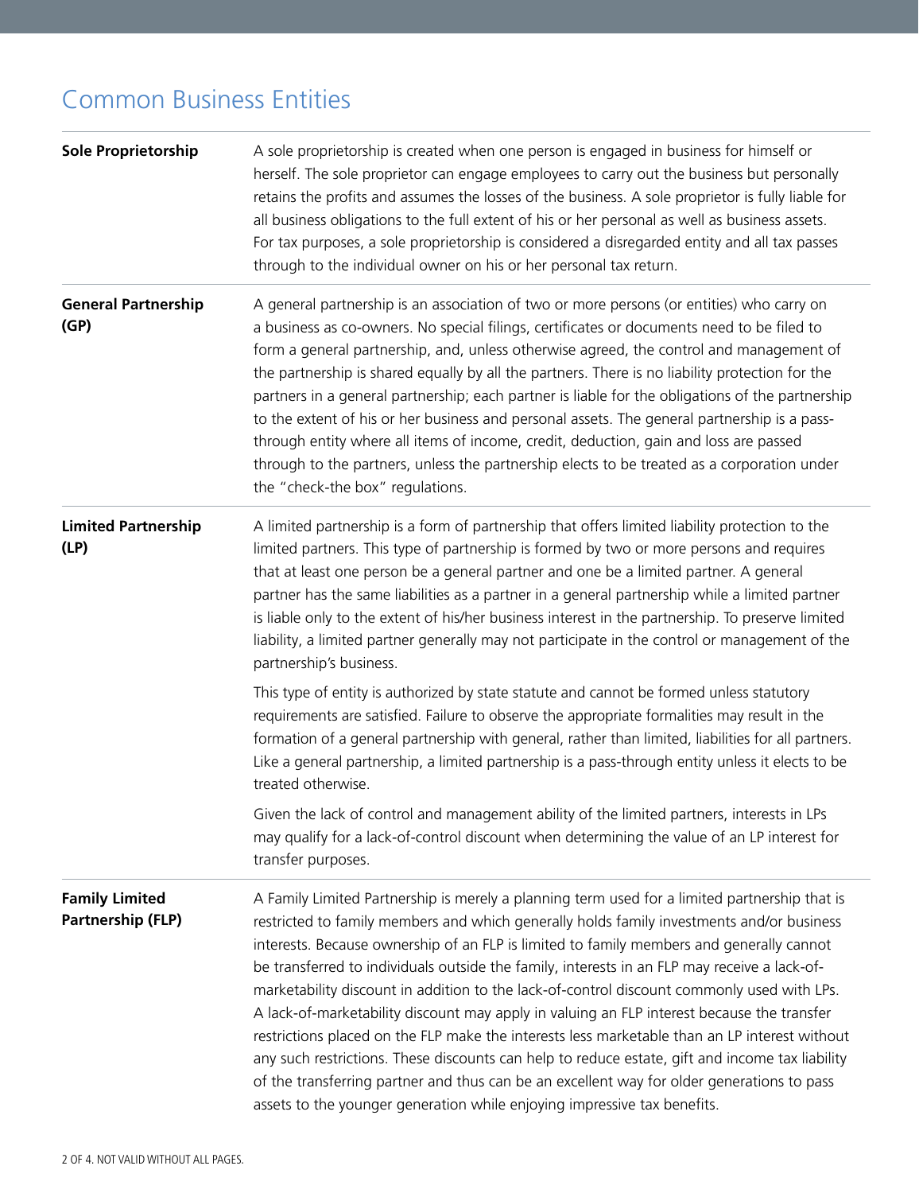## Common Business Entities

| <b>Sole Proprietorship</b>                        | A sole proprietorship is created when one person is engaged in business for himself or<br>herself. The sole proprietor can engage employees to carry out the business but personally<br>retains the profits and assumes the losses of the business. A sole proprietor is fully liable for<br>all business obligations to the full extent of his or her personal as well as business assets.<br>For tax purposes, a sole proprietorship is considered a disregarded entity and all tax passes<br>through to the individual owner on his or her personal tax return.                                                                                                                                                                                                                                                                                                                                                                                               |
|---------------------------------------------------|------------------------------------------------------------------------------------------------------------------------------------------------------------------------------------------------------------------------------------------------------------------------------------------------------------------------------------------------------------------------------------------------------------------------------------------------------------------------------------------------------------------------------------------------------------------------------------------------------------------------------------------------------------------------------------------------------------------------------------------------------------------------------------------------------------------------------------------------------------------------------------------------------------------------------------------------------------------|
| <b>General Partnership</b><br>(GP)                | A general partnership is an association of two or more persons (or entities) who carry on<br>a business as co-owners. No special filings, certificates or documents need to be filed to<br>form a general partnership, and, unless otherwise agreed, the control and management of<br>the partnership is shared equally by all the partners. There is no liability protection for the<br>partners in a general partnership; each partner is liable for the obligations of the partnership<br>to the extent of his or her business and personal assets. The general partnership is a pass-<br>through entity where all items of income, credit, deduction, gain and loss are passed<br>through to the partners, unless the partnership elects to be treated as a corporation under<br>the "check-the box" regulations.                                                                                                                                            |
| <b>Limited Partnership</b><br>(LP)                | A limited partnership is a form of partnership that offers limited liability protection to the<br>limited partners. This type of partnership is formed by two or more persons and requires<br>that at least one person be a general partner and one be a limited partner. A general<br>partner has the same liabilities as a partner in a general partnership while a limited partner<br>is liable only to the extent of his/her business interest in the partnership. To preserve limited<br>liability, a limited partner generally may not participate in the control or management of the<br>partnership's business.                                                                                                                                                                                                                                                                                                                                          |
|                                                   | This type of entity is authorized by state statute and cannot be formed unless statutory<br>requirements are satisfied. Failure to observe the appropriate formalities may result in the<br>formation of a general partnership with general, rather than limited, liabilities for all partners.<br>Like a general partnership, a limited partnership is a pass-through entity unless it elects to be<br>treated otherwise.                                                                                                                                                                                                                                                                                                                                                                                                                                                                                                                                       |
|                                                   | Given the lack of control and management ability of the limited partners, interests in LPs<br>may qualify for a lack-of-control discount when determining the value of an LP interest for<br>transfer purposes.                                                                                                                                                                                                                                                                                                                                                                                                                                                                                                                                                                                                                                                                                                                                                  |
| <b>Family Limited</b><br><b>Partnership (FLP)</b> | A Family Limited Partnership is merely a planning term used for a limited partnership that is<br>restricted to family members and which generally holds family investments and/or business<br>interests. Because ownership of an FLP is limited to family members and generally cannot<br>be transferred to individuals outside the family, interests in an FLP may receive a lack-of-<br>marketability discount in addition to the lack-of-control discount commonly used with LPs.<br>A lack-of-marketability discount may apply in valuing an FLP interest because the transfer<br>restrictions placed on the FLP make the interests less marketable than an LP interest without<br>any such restrictions. These discounts can help to reduce estate, gift and income tax liability<br>of the transferring partner and thus can be an excellent way for older generations to pass<br>assets to the younger generation while enjoying impressive tax benefits. |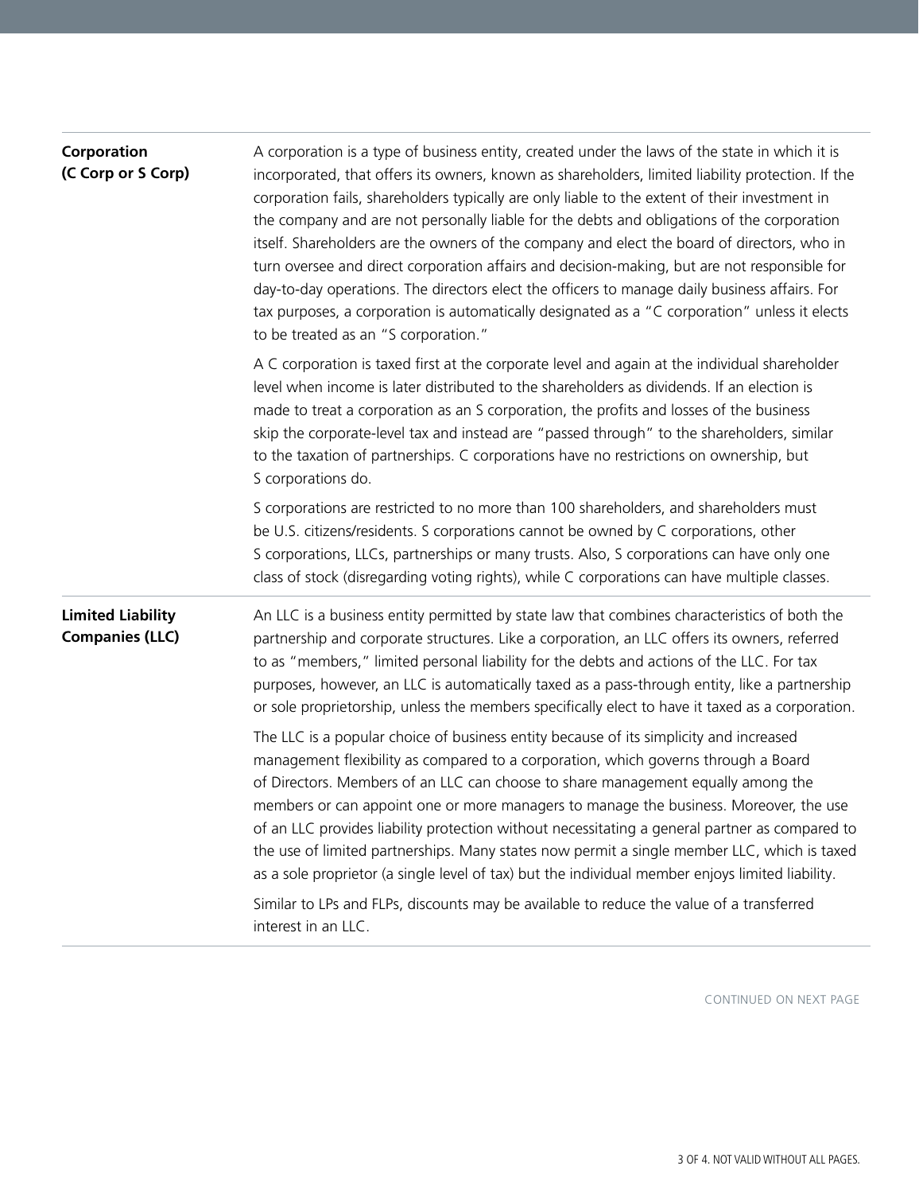| Corporation<br>(C Corp or S Corp)                  | A corporation is a type of business entity, created under the laws of the state in which it is<br>incorporated, that offers its owners, known as shareholders, limited liability protection. If the<br>corporation fails, shareholders typically are only liable to the extent of their investment in<br>the company and are not personally liable for the debts and obligations of the corporation<br>itself. Shareholders are the owners of the company and elect the board of directors, who in<br>turn oversee and direct corporation affairs and decision-making, but are not responsible for<br>day-to-day operations. The directors elect the officers to manage daily business affairs. For<br>tax purposes, a corporation is automatically designated as a "C corporation" unless it elects<br>to be treated as an "S corporation." |
|----------------------------------------------------|----------------------------------------------------------------------------------------------------------------------------------------------------------------------------------------------------------------------------------------------------------------------------------------------------------------------------------------------------------------------------------------------------------------------------------------------------------------------------------------------------------------------------------------------------------------------------------------------------------------------------------------------------------------------------------------------------------------------------------------------------------------------------------------------------------------------------------------------|
|                                                    | A C corporation is taxed first at the corporate level and again at the individual shareholder<br>level when income is later distributed to the shareholders as dividends. If an election is<br>made to treat a corporation as an S corporation, the profits and losses of the business<br>skip the corporate-level tax and instead are "passed through" to the shareholders, similar<br>to the taxation of partnerships. C corporations have no restrictions on ownership, but<br>S corporations do.                                                                                                                                                                                                                                                                                                                                         |
|                                                    | S corporations are restricted to no more than 100 shareholders, and shareholders must<br>be U.S. citizens/residents. S corporations cannot be owned by C corporations, other<br>S corporations, LLCs, partnerships or many trusts. Also, S corporations can have only one<br>class of stock (disregarding voting rights), while C corporations can have multiple classes.                                                                                                                                                                                                                                                                                                                                                                                                                                                                    |
| <b>Limited Liability</b><br><b>Companies (LLC)</b> | An LLC is a business entity permitted by state law that combines characteristics of both the<br>partnership and corporate structures. Like a corporation, an LLC offers its owners, referred<br>to as "members," limited personal liability for the debts and actions of the LLC. For tax<br>purposes, however, an LLC is automatically taxed as a pass-through entity, like a partnership<br>or sole proprietorship, unless the members specifically elect to have it taxed as a corporation.                                                                                                                                                                                                                                                                                                                                               |
|                                                    | The LLC is a popular choice of business entity because of its simplicity and increased<br>management flexibility as compared to a corporation, which governs through a Board<br>of Directors. Members of an LLC can choose to share management equally among the<br>members or can appoint one or more managers to manage the business. Moreover, the use<br>of an LLC provides liability protection without necessitating a general partner as compared to<br>the use of limited partnerships. Many states now permit a single member LLC, which is taxed<br>as a sole proprietor (a single level of tax) but the individual member enjoys limited liability.                                                                                                                                                                               |
|                                                    | Similar to LPs and FLPs, discounts may be available to reduce the value of a transferred<br>interest in an LLC.                                                                                                                                                                                                                                                                                                                                                                                                                                                                                                                                                                                                                                                                                                                              |

CONTINUED ON NEXT PAGE